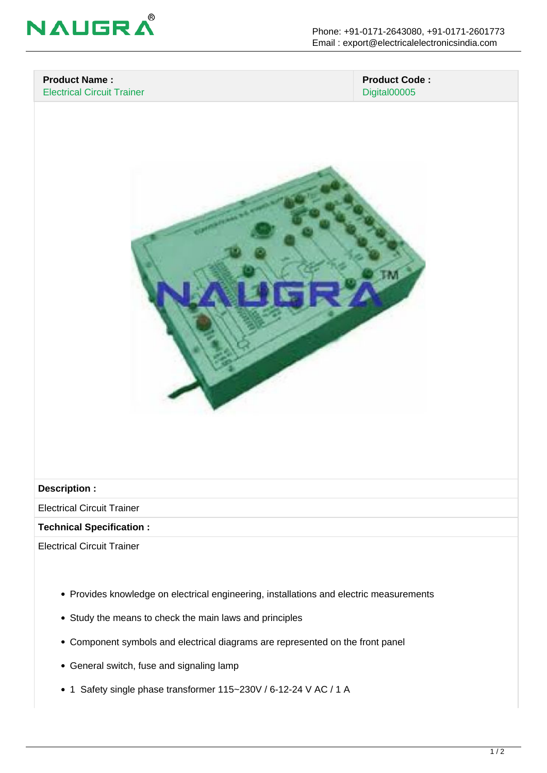

### **Product Name :** Electrical Circuit Trainer

 **Product Code :** Digital00005



#### **Description :**

Electrical Circuit Trainer

#### **Technical Specification :**

Electrical Circuit Trainer

- Provides knowledge on electrical engineering, installations and electric measurements
- Study the means to check the main laws and principles
- Component symbols and electrical diagrams are represented on the front panel
- General switch, fuse and signaling lamp
- 1 Safety single phase transformer 115~230V / 6-12-24 V AC / 1 A